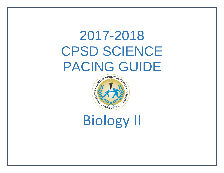# 2017-2018 CPSD SCIENCE PACING GUIDE



Biology II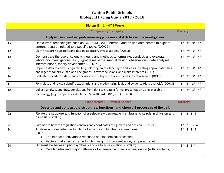|                                                                                            | Biology II 1st-4th 9 Weeks                                                                                                                                                                                                                   |                         |  |  |  |  |  |
|--------------------------------------------------------------------------------------------|----------------------------------------------------------------------------------------------------------------------------------------------------------------------------------------------------------------------------------------------|-------------------------|--|--|--|--|--|
| <b>Competency 1 - Inquiry</b><br><b>Mastery</b>                                            |                                                                                                                                                                                                                                              |                         |  |  |  |  |  |
| Apply inquiry-based and problem-solving processes and skills to scientific investigations. |                                                                                                                                                                                                                                              |                         |  |  |  |  |  |
| 1a                                                                                         | Use current technologies such as CD-ROM, DVD, Internet, and on-line data search to explore<br>$1* 2* 3* 4*$<br>current research related to a specific topic. (DOK 3)                                                                         |                         |  |  |  |  |  |
| 1 <sub>b</sub>                                                                             | Clarify research questions and design laboratory investigations. (DOK 3)                                                                                                                                                                     | $1* 2* 3* 4*$           |  |  |  |  |  |
| 1 <sub>c</sub>                                                                             | Demonstrate the use of scientific inquiry and methods to formulate, conduct, and evaluate<br>laboratory investigations (e.g., hypotheses, experimental design, observations, data analyses,<br>interpretations, theory development). (DOK 3) |                         |  |  |  |  |  |
| 1 <sub>d</sub>                                                                             | Organize data to construct graphs (e.g., plotting points, labeling x-and y-axis, creating appropriate titles<br>and legends for circle, bar, and line graphs), draw conclusions, and make inferences. (DOK 3)                                | $1* 2* 3* 4*$           |  |  |  |  |  |
| 1e                                                                                         | Evaluate procedures, data, and conclusions to critique the scientific validity of research. (DOK 3                                                                                                                                           | $1^*$ $2^*$ $3^*$ $4^*$ |  |  |  |  |  |
| 1 <sub>f</sub>                                                                             | Formulate and revise scientific explanations and models using logic and evidence (data analysis). (DOK 3)                                                                                                                                    | $1* 2* 3* 4*$           |  |  |  |  |  |
| 1g                                                                                         | Collect, analyze, and draw conclusions from data to create a formal presentation using available<br>technology (e.g., computers, calculators, SmartBoard, CBL's, etc.) (DOK 3)                                                               | $1^*$ $2^*$ $3^*$ $4^*$ |  |  |  |  |  |
|                                                                                            | <b>Competency 2 - Physical Science</b>                                                                                                                                                                                                       | <b>Mastery</b>          |  |  |  |  |  |
| Describe and contrast the structures, functions, and chemical processes of the cell.       |                                                                                                                                                                                                                                              |                         |  |  |  |  |  |
| 2a                                                                                         | Relate the structure and function of a selectively permeable membrane to its role in diffusion and<br>osmosis. (DOK 2)                                                                                                                       | $1*$ 2 3 4              |  |  |  |  |  |
| 2 <sub>b</sub>                                                                             | Summarize how cell regulation controls and coordinates cell growth and division. (DOK 2)                                                                                                                                                     | $1^*$ 2<br>34           |  |  |  |  |  |
| 2c                                                                                         | Analyze and describe the function of enzymes in biochemical reactions.<br>(DOK 2)                                                                                                                                                            | $1*$ 2 3 4              |  |  |  |  |  |
|                                                                                            | The impact of enzymatic reactions on biochemical processes                                                                                                                                                                                   |                         |  |  |  |  |  |
|                                                                                            | Factors that affect enzyme function (e.g., pH, concentration, temperature, etc.)                                                                                                                                                             |                         |  |  |  |  |  |
| 2d                                                                                         | Differentiate between photosynthesis and cellular respiration. (DOK 2)<br>Cellular sites and major pathways of anaerobic and aerobic respiration (with reactants,                                                                            | $1*$ 2 3 4              |  |  |  |  |  |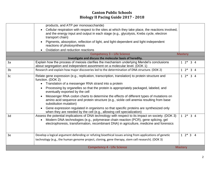|                | products, and ATP per monosaccharide)                                                                                                                                                                                                                                                                                                                                                                                                                                                                                                                                                                                                                                                                                           |                   |
|----------------|---------------------------------------------------------------------------------------------------------------------------------------------------------------------------------------------------------------------------------------------------------------------------------------------------------------------------------------------------------------------------------------------------------------------------------------------------------------------------------------------------------------------------------------------------------------------------------------------------------------------------------------------------------------------------------------------------------------------------------|-------------------|
|                | Cellular respiration with respect to the sites at which they take place, the reactions involved,<br>$\bullet$<br>and the energy input and output in each stage (e.g., glycolysis, Krebs cycle, electron<br>transport chain)                                                                                                                                                                                                                                                                                                                                                                                                                                                                                                     |                   |
|                | Pigments, absorption, reflection of light, and light-dependent and light-independent<br>$\bullet$<br>reactions of photosynthesis                                                                                                                                                                                                                                                                                                                                                                                                                                                                                                                                                                                                |                   |
|                | Oxidation and reduction reactions                                                                                                                                                                                                                                                                                                                                                                                                                                                                                                                                                                                                                                                                                               |                   |
|                | <b>Competency 3 - Life Science</b>                                                                                                                                                                                                                                                                                                                                                                                                                                                                                                                                                                                                                                                                                              | <b>Mastery</b>    |
|                | Investigate and discuss the molecular basis of heredity.                                                                                                                                                                                                                                                                                                                                                                                                                                                                                                                                                                                                                                                                        |                   |
| 3a             | Explain how the process of meiosis clarifies the mechanism underlying Mendel's conclusions<br>about segregation and independent assortment on a molecular level. (DOK 1)                                                                                                                                                                                                                                                                                                                                                                                                                                                                                                                                                        | $12*34$           |
| 3 <sub>b</sub> | Research and explain how major discoveries led to the determination of DNA structure. (DOK 2)                                                                                                                                                                                                                                                                                                                                                                                                                                                                                                                                                                                                                                   | $1 \t2^* \t3 \t4$ |
| 3 <sub>c</sub> | Relate gene expression (e.g., replication, transcription, translation) to protein structure and<br>function. (DOK 2)<br>Translation of a messenger RNA strand into a protein<br>$\bullet$<br>Processing by organelles so that the protein is appropriately packaged, labeled, and<br>$\bullet$<br>eventually exported by the cell<br>Messenger RNA codon charts to determine the effects of different types of mutations on<br>amino acid sequence and protein structure (e.g., sickle cell anemia resulting from base<br>substitution mutation)<br>Gene expression regulated in organisms so that specific proteins are synthesized only<br>$\bullet$<br>when they are needed by the cell (e.g., allowing cell specialization) | $12*34$           |
| 3d             | Assess the potential implications of DNA technology with respect to its impact on society. (DOK 3)<br>Modern DNA technologies (e.g., polymerase chain reaction (PCR), gene splicing, gel<br>$\bullet$<br>electrophoresis, transformation, recombinant DNA) in agriculture, medicine and forensics                                                                                                                                                                                                                                                                                                                                                                                                                               | $1 \t2^* \t3 \t4$ |
| 3e             | Develop a logical argument defending or refuting bioethical issues arising from applications of genetic<br>technology (e.g., the human genome project, cloning, gene therapy, stem cell research). (DOK 3)                                                                                                                                                                                                                                                                                                                                                                                                                                                                                                                      | $1 \t2^* \t3 \t4$ |
|                | <b>Competency 4 - Life Science</b>                                                                                                                                                                                                                                                                                                                                                                                                                                                                                                                                                                                                                                                                                              | <b>Mastery</b>    |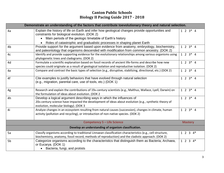| Demonstrate an understanding of the factors that contribute toevolutionary theory and natural selection. |                                                                                                                                                                                                                          |                 |  |  |  |  |
|----------------------------------------------------------------------------------------------------------|--------------------------------------------------------------------------------------------------------------------------------------------------------------------------------------------------------------------------|-----------------|--|--|--|--|
| 4a                                                                                                       | Explain the history of life on Earth and infer how geological changes provide opportunities and<br>constraints for biological evolution. (DOK 2)                                                                         |                 |  |  |  |  |
|                                                                                                          | Main periods of the geologic timetable of Earth's history<br>$\bullet$                                                                                                                                                   |                 |  |  |  |  |
|                                                                                                          | Roles of catastrophic and gradualistic processes in shaping planet Earth                                                                                                                                                 |                 |  |  |  |  |
| 4b                                                                                                       | Provide support for the argument based upon evidence from anatomy, embryology, biochemistry,<br>and paleontology that organisms descended with modification from common ancestry. (DOK 2)                                | $1 \t2 \t3 * 4$ |  |  |  |  |
| 4c                                                                                                       | Identify and provide supporting evidence for the evolutionary relationships among various organisms using<br>phylogenetic trees and cladograms. (DOK 2)                                                                  | $1 \t2 \t3 * 4$ |  |  |  |  |
| 4d                                                                                                       | Formulate a scientific explanation based on fossil records of ancient life-forms and describe how new                                                                                                                    | $1 \t2 \t3 * 4$ |  |  |  |  |
|                                                                                                          | species could originate as a result of geological isolation and reproductive isolation. (DOK 2)                                                                                                                          |                 |  |  |  |  |
| 4e                                                                                                       | Compare and contrast the basic types of selection (e.g., disruptive, stabilizing, directional, etc.) (DOK 2)                                                                                                             | $1 \t2 \t3 * 4$ |  |  |  |  |
| 4f                                                                                                       | Cite examples to justify behaviors that have evolved through natural selection<br>(e.g., migration, parental care, use of tools, etc.) (DOK 1)                                                                           | $1 \t2 \t3* 4$  |  |  |  |  |
| 4g                                                                                                       | Research and explain the contributions of 19th century scientists (e.g., Malthus, Wallace, Lyell, Darwin) on<br>the formulation of ideas about evolution. (DOK 2                                                         | $1 \t2 \t3 * 4$ |  |  |  |  |
| 4h                                                                                                       | Develop a logical argument describing ways in which the influences of<br>20th century science have impacted the development of ideas about evolution (e.g., synthetic theory of<br>evolution, molecular biology). (DOK 3 | $1 \t2 \t3 * 4$ |  |  |  |  |
| 4i                                                                                                       | Analyze changes in an ecosystem resulting from natural causes (succession), changes in climate, human<br>activity (pollution and recycling), or introduction of non-native species. (DOK 2)                              | $1 \t2 \t3 * 4$ |  |  |  |  |
| <b>Competency 5 - Life Science</b>                                                                       |                                                                                                                                                                                                                          |                 |  |  |  |  |
|                                                                                                          | Develop an understanding of organism classification.                                                                                                                                                                     |                 |  |  |  |  |
| 5a                                                                                                       | Classify organisms according to traditional Linnaean classification characteristics (e.g., cell structure,                                                                                                               | $1 2 3 4*$      |  |  |  |  |
|                                                                                                          | biochemistry, anatomy, fossil record, methods of reproduction) and the cladistic approach. (DOK 2)                                                                                                                       |                 |  |  |  |  |
| 5b                                                                                                       | Categorize organisms according to the characteristics that distinguish them as Bacteria, Archaea,<br>or Eucarya. (DOK 1)<br>• Bacteria, fungi, and protists                                                              | $1 2 3 4*$      |  |  |  |  |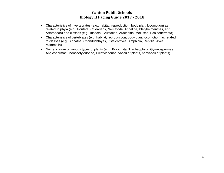| Characteristics of invertebrates (e.g., habitat, reproduction, body plan, locomotion) as<br>$\bullet$<br>related to phyla (e.g., Porifera, Cnidarians, Nematoda, Annelida, Platyhelmenthes, and<br>Arthropoda) and classes (e.g., Insecta, Crustacea, Arachnida, Mollusca, Echinodermata) |
|-------------------------------------------------------------------------------------------------------------------------------------------------------------------------------------------------------------------------------------------------------------------------------------------|
| Characteristics of vertebrates (e.g., habitat, reproduction, body plan, locomotion) as related<br>$\bullet$<br>to classes (e.g., Agnatha, Chondrichthyes, Osteichthyes, Amphibia, Reptilia, Aves,<br>Mammalia)                                                                            |
| Nomenclature of various types of plants (e.g., Bryophyta, Tracheophyta, Gymnospermae,<br>$\bullet$<br>Angiospermae, Monocotyledonae, Dicotyledonae, vascular plants, nonvascular plants).                                                                                                 |